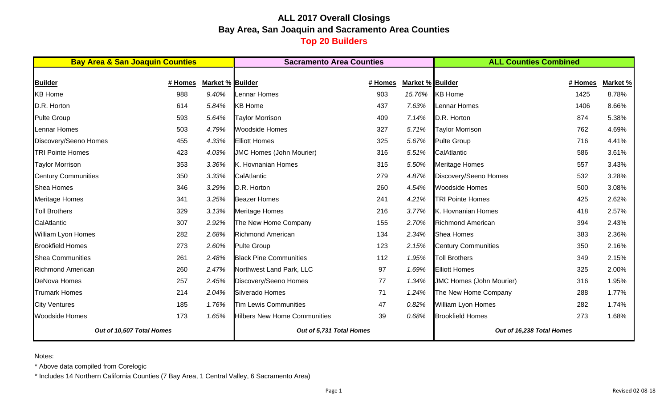# **ALL 2017 Overall Closings Bay Area, San Joaquin and Sacramento Area Counties Top 20 Builders**

| <b>Bay Area &amp; San Joaquin Counties</b> |                          |                  | <b>Sacramento Area Counties</b>     |                           |                  | <b>ALL Counties Combined</b>    |         |          |  |
|--------------------------------------------|--------------------------|------------------|-------------------------------------|---------------------------|------------------|---------------------------------|---------|----------|--|
|                                            |                          |                  |                                     |                           |                  |                                 |         |          |  |
| <b>Builder</b>                             | # Homes                  | Market % Builder |                                     | # Homes                   | Market % Builder |                                 | # Homes | Market % |  |
| <b>KB Home</b>                             | 988                      | 9.40%            | Lennar Homes                        | 903                       | 15.76%           | <b>KB</b> Home                  | 1425    | 8.78%    |  |
| D.R. Horton                                | 614                      | 5.84%            | <b>KB</b> Home                      | 437                       | 7.63%            | Lennar Homes                    | 1406    | 8.66%    |  |
| <b>Pulte Group</b>                         | 593                      | 5.64%            | <b>Taylor Morrison</b>              | 409                       | 7.14%            | D.R. Horton                     | 874     | 5.38%    |  |
| Lennar Homes                               | 503                      | 4.79%            | <b>Woodside Homes</b>               | 327                       | 5.71%            | <b>Taylor Morrison</b>          | 762     | 4.69%    |  |
| Discovery/Seeno Homes                      | 455                      | 4.33%            | <b>Elliott Homes</b>                | 325                       | 5.67%            | Pulte Group                     | 716     | 4.41%    |  |
| <b>TRI Pointe Homes</b>                    | 423                      | 4.03%            | <b>JMC Homes (John Mourier)</b>     | 316                       | 5.51%            | CalAtlantic                     | 586     | 3.61%    |  |
| <b>Taylor Morrison</b>                     | 353                      | 3.36%            | K. Hovnanian Homes                  | 315                       | 5.50%            | Meritage Homes                  | 557     | 3.43%    |  |
| <b>Century Communities</b>                 | 350                      | 3.33%            | CalAtlantic                         | 279                       | 4.87%            | Discovery/Seeno Homes           | 532     | 3.28%    |  |
| Shea Homes                                 | 346                      | 3.29%            | D.R. Horton                         | 260                       | 4.54%            | <b>Woodside Homes</b>           | 500     | 3.08%    |  |
| <b>Meritage Homes</b>                      | 341                      | 3.25%            | <b>Beazer Homes</b>                 | 241                       | 4.21%            | <b>TRI Pointe Homes</b>         | 425     | 2.62%    |  |
| <b>Toll Brothers</b>                       | 329                      | 3.13%            | Meritage Homes                      | 216                       | 3.77%            | K. Hovnanian Homes              | 418     | 2.57%    |  |
| CalAtlantic                                | 307                      | 2.92%            | The New Home Company                | 155                       | 2.70%            | Richmond American               | 394     | 2.43%    |  |
| William Lyon Homes                         | 282                      | 2.68%            | <b>Richmond American</b>            | 134                       | 2.34%            | Shea Homes                      | 383     | 2.36%    |  |
| <b>Brookfield Homes</b>                    | 273                      | 2.60%            | Pulte Group                         | 123                       | 2.15%            | Century Communities             | 350     | 2.16%    |  |
| <b>Shea Communities</b>                    | 261                      | 2.48%            | <b>Black Pine Communities</b>       | 112                       | 1.95%            | <b>Toll Brothers</b>            | 349     | 2.15%    |  |
| <b>Richmond American</b>                   | 260                      | 2.47%            | Northwest Land Park, LLC            | 97                        | 1.69%            | Elliott Homes                   | 325     | 2.00%    |  |
| <b>DeNova Homes</b>                        | 257                      | 2.45%            | Discovery/Seeno Homes               | 77                        | 1.34%            | <b>JMC Homes (John Mourier)</b> | 316     | 1.95%    |  |
| <b>Trumark Homes</b>                       | 214                      | 2.04%            | Silverado Homes                     | 71                        | 1.24%            | The New Home Company            | 288     | 1.77%    |  |
| <b>City Ventures</b>                       | 185                      | 1.76%            | <b>Tim Lewis Communities</b>        | 47                        | 0.82%            | <b>William Lyon Homes</b>       | 282     | 1.74%    |  |
| <b>Woodside Homes</b>                      | 173                      | 1.65%            | <b>Hilbers New Home Communities</b> | 39                        | 0.68%            | <b>Brookfield Homes</b>         | 273     | 1.68%    |  |
| Out of 10,507 Total Homes                  | Out of 5,731 Total Homes |                  |                                     | Out of 16,238 Total Homes |                  |                                 |         |          |  |

Notes:

\* Above data compiled from Corelogic

\* Includes 14 Northern California Counties (7 Bay Area, 1 Central Valley, 6 Sacramento Area)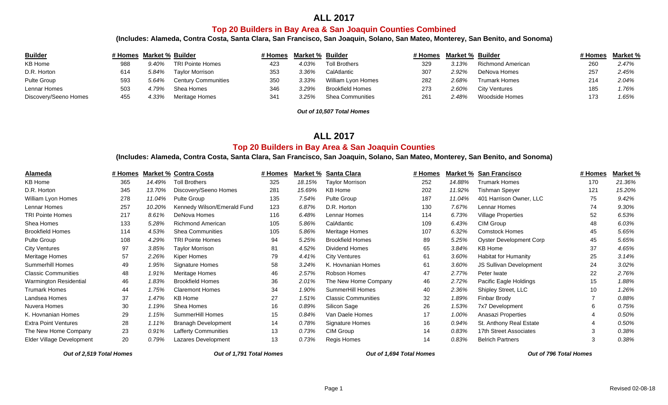#### **Top 20 Builders in Bay Area & San Joaquin Counties Combined**

**(Includes: Alameda, Contra Costa, Santa Clara, San Francisco, San Joaquin, Solano, San Mateo, Monterey, San Benito, and Sonoma)**

| <b>Builder</b>        | # Homes Market % Builder |       |                            | # Homes | Market % Builder |                         | # Homes | Market % Builder |                          |     | # Homes Market % |
|-----------------------|--------------------------|-------|----------------------------|---------|------------------|-------------------------|---------|------------------|--------------------------|-----|------------------|
| KB Home               | 988                      | 9.40% | <b>TRI Pointe Homes</b>    | 423     | 4.03%            | <b>Toll Brothers</b>    | 329     | 3.13%            | <b>Richmond American</b> | 260 | 2.47%            |
| D.R. Horton           | 614                      | 5.84% | Taylor Morrison            | 353     | 3.36%            | CalAtlantic             | 307     | 2.92%            | DeNova Homes             | 257 | 2.45%            |
| Pulte Group           | 593                      | 5.64% | <b>Century Communities</b> | 350     | 3.33%            | William Lyon Homes      | 282     | 2.68%            | <b>Trumark Homes</b>     | 214 | 2.04%            |
| Lennar Homes          | 503                      | 4.79% | Shea Homes                 | 346     | 3.29%            | <b>Brookfield Homes</b> | 273     | 2.60%            | City Ventures            | 185 | 1.76%            |
| Discovery/Seeno Homes | 455                      | 4.33% | Meritage Homes             | 341     | 3.25%            | Shea Communities        | 261     | 2.48%            | Woodside Homes           |     | 1.65%            |

*Out of 10,507 Total Homes*

## **ALL 2017**

#### **Top 20 Builders in Bay Area & San Joaquin Counties**

**(Includes: Alameda, Contra Costa, Santa Clara, San Francisco, San Joaquin, Solano, San Mateo, Monterey, San Benito, and Sonoma)**

| Alameda                     | # Homes |        | <b>Market % Contra Costa</b> | # Homes |        | <b>Market % Santa Clara</b> | # Homes | Market % | <b>San Francisco</b>           | # Homes | Market % |
|-----------------------------|---------|--------|------------------------------|---------|--------|-----------------------------|---------|----------|--------------------------------|---------|----------|
| <b>KB Home</b>              | 365     | 14.49% | <b>Toll Brothers</b>         | 325     | 18.15% | <b>Taylor Morrison</b>      | 252     | 14.88%   | <b>Trumark Homes</b>           | 170     | 21.36%   |
| D.R. Horton                 | 345     | 13.70% | Discovery/Seeno Homes        | 281     | 15.69% | <b>KB Home</b>              | 202     | 11.92%   | Tishman Speyer                 | 121     | 15.20%   |
| William Lyon Homes          | 278     | 11.04% | Pulte Group                  | 135     | 7.54%  | Pulte Group                 | 187     | 11.04%   | 401 Harrison Owner, LLC        | 75      | 9.42%    |
| Lennar Homes                | 257     | 10.20% | Kennedy Wilson/Emerald Fund  | 123     | 6.87%  | D.R. Horton                 | 130     | 7.67%    | Lennar Homes                   | 74      | 9.30%    |
| <b>TRI Pointe Homes</b>     | 217     | 8.61%  | DeNova Homes                 | 116     | 6.48%  | Lennar Homes                | 114     | 6.73%    | <b>Village Properties</b>      | 52      | 6.53%    |
| Shea Homes                  | 133     | 5.28%  | <b>Richmond American</b>     | 105     | 5.86%  | CalAtlantic                 | 109     | 6.43%    | CIM Group                      | 48      | 6.03%    |
| <b>Brookfield Homes</b>     | 114     | 4.53%  | <b>Shea Communities</b>      | 105     | 5.86%  | Meritage Homes              | 107     | 6.32%    | <b>Comstock Homes</b>          | 45      | 5.65%    |
| Pulte Group                 | 108     | 4.29%  | <b>TRI Pointe Homes</b>      | 94      | 5.25%  | <b>Brookfield Homes</b>     | 89      | 5.25%    | <b>Oyster Development Corp</b> | 45      | 5.65%    |
| <b>City Ventures</b>        | 97      | 3.85%  | <b>Taylor Morrison</b>       | 81      | 4.52%  | Dividend Homes              | 65      | 3.84%    | KB Home                        | 37      | 4.65%    |
| Meritage Homes              | 57      | 2.26%  | Kiper Homes                  | 79      | 4.41%  | <b>City Ventures</b>        | 61      | 3.60%    | <b>Habitat for Humanity</b>    | 25      | 3.14%    |
| <b>Summerhill Homes</b>     | 49      | 1.95%  | Signature Homes              | 58      | 3.24%  | K. Hovnanian Homes          | 61      | 3.60%    | <b>JS Sullivan Development</b> | 24      | 3.02%    |
| <b>Classic Communities</b>  | 48      | 1.91%  | Meritage Homes               | 46      | 2.57%  | Robson Homes                | 47      | 2.77%    | Peter Iwate                    | 22      | 2.76%    |
| Warmington Residential      | 46      | 1.83%  | <b>Brookfield Homes</b>      | 36      | 2.01%  | The New Home Company        | 46      | 2.72%    | Pacific Eagle Holdings         | 15      | 1.88%    |
| <b>Trumark Homes</b>        | 44      | 1.75%  | <b>Claremont Homes</b>       | 34      | 1.90%  | SummerHill Homes            | 40      | 2.36%    | Shipley Street, LLC            |         | 1.26%    |
| Landsea Homes               | 37      | 1.47%  | <b>KB Home</b>               | 27      | 1.51%  | <b>Classic Communities</b>  | 32      | 1.89%    | Finbar Brody                   |         | 0.88%    |
| Nuvera Homes                | 30      | 1.19%  | Shea Homes                   | 16      | 0.89%  | Silicon Sage                | 26      | 1.53%    | 7x7 Development                | 6       | 0.75%    |
| K. Hovnanian Homes          | 29      | 1.15%  | SummerHill Homes             | 15      | 0.84%  | Van Daele Homes             | 17      | 1.00%    | Anasazi Properties             |         | 0.50%    |
| <b>Extra Point Ventures</b> | 28      | 1.11%  | <b>Branagh Development</b>   | 14      | 0.78%  | <b>Signature Homes</b>      | 16      | 0.94%    | St. Anthony Real Estate        |         | 0.50%    |
| The New Home Company        | 23      | 0.91%  | <b>Lafferty Communities</b>  | 13      | 0.73%  | CIM Group                   | 14      | 0.83%    | 17th Street Associates         |         | 0.38%    |
| Elder Village Development   | 20      | 0.79%  | Lazares Development          | 13      | 0.73%  | Regis Homes                 | 14      | 0.83%    | <b>Belrich Partners</b>        |         | 0.38%    |

*Out of 2,519 Total Homes Out of 1,791 Total Homes Out of 1,694 Total Homes Out of 796 Total Homes*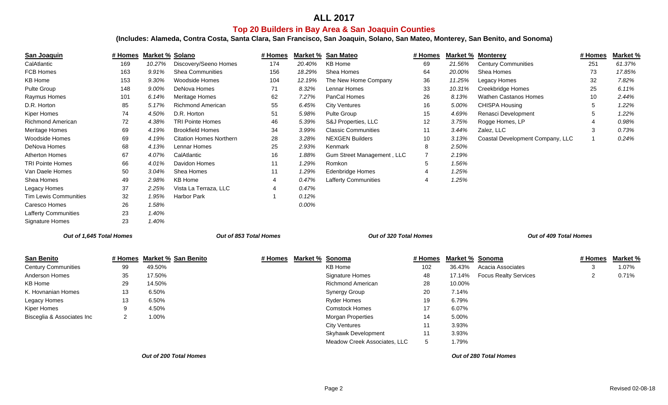## **Top 20 Builders in Bay Area & San Joaquin Counties**

**(Includes: Alameda, Contra Costa, Santa Clara, San Francisco, San Joaquin, Solano, San Mateo, Monterey, San Benito, and Sonoma)**

| San Joaquin                  | # Homes        | <b>Market % Solano</b> |                                | # Homes                |          | Market % San Mateo           | # Homes |                 | <b>Market % Monterey</b>         | # Homes        | Market % |
|------------------------------|----------------|------------------------|--------------------------------|------------------------|----------|------------------------------|---------|-----------------|----------------------------------|----------------|----------|
| CalAtlantic                  | 169            | 10.27%                 | Discovery/Seeno Homes          | 174                    | 20.40%   | <b>KB Home</b>               | 69      | 21.56%          | <b>Century Communities</b>       | 251            | 61.37%   |
| <b>FCB Homes</b>             | 163            | 9.91%                  | <b>Shea Communities</b>        | 156                    | 18.29%   | Shea Homes                   | 64      | 20.00%          | Shea Homes                       | 73             | 17.85%   |
| <b>KB Home</b>               | 153            | 9.30%                  | <b>Woodside Homes</b>          | 104                    | 12.19%   | The New Home Company         | 36      | 11.25%          | Legacy Homes                     | 32             | 7.82%    |
| <b>Pulte Group</b>           | 148            | 9.00%                  | DeNova Homes                   | 71                     | 8.32%    | Lennar Homes                 | 33      | 10.31%          | Creekbridge Homes                | 25             | 6.11%    |
| Raymus Homes                 | 101            | 6.14%                  | Meritage Homes                 | 62                     | 7.27%    | PanCal Homes                 | 26      | 8.13%           | <b>Wathen Castanos Homes</b>     | 10             | 2.44%    |
| D.R. Horton                  | 85             | 5.17%                  | <b>Richmond American</b>       | 55                     | 6.45%    | <b>City Ventures</b>         | 16      | 5.00%           | <b>CHISPA Housing</b>            | 5              | 1.22%    |
| Kiper Homes                  | 74             | 4.50%                  | D.R. Horton                    | 51                     | 5.98%    | <b>Pulte Group</b>           | 15      | 4.69%           | Renasci Development              | 5              | 1.22%    |
| Richmond American            | 72             | 4.38%                  | <b>TRI Pointe Homes</b>        | 46                     | 5.39%    | S&J Properties, LLC          | 12      | 3.75%           | Rogge Homes, LP                  |                | 0.98%    |
| <b>Meritage Homes</b>        | 69             | 4.19%                  | <b>Brookfield Homes</b>        | 34                     | 3.99%    | <b>Classic Communities</b>   | 11      | 3.44%           | Zalez, LLC                       | 3              | 0.73%    |
| <b>Woodside Homes</b>        | 69             | 4.19%                  | <b>Citation Homes Northern</b> | 28                     | 3.28%    | <b>NEXGEN Builders</b>       | 10      | 3.13%           | Coastal Development Company, LLC |                | 0.24%    |
| DeNova Homes                 | 68             | 4.13%                  | Lennar Homes                   | 25                     | 2.93%    | Kenmark                      | 8       | 2.50%           |                                  |                |          |
| <b>Atherton Homes</b>        | 67             | 4.07%                  | CalAtlantic                    | 16                     | 1.88%    | Gum Street Management, LLC   | 7       | 2.19%           |                                  |                |          |
| <b>TRI Pointe Homes</b>      | 66             | 4.01%                  | Davidon Homes                  | 11                     | 1.29%    | Romkon                       | 5       | 1.56%           |                                  |                |          |
| Van Daele Homes              | 50             | 3.04%                  | Shea Homes                     | 11                     | 1.29%    | <b>Edenbridge Homes</b>      | 4       | 1.25%           |                                  |                |          |
| Shea Homes                   | 49             | 2.98%                  | <b>KB Home</b>                 | 4                      | 0.47%    | <b>Lafferty Communities</b>  | 4       | 1.25%           |                                  |                |          |
| Legacy Homes                 | 37             | 2.25%                  | Vista La Terraza, LLC          | 4                      | 0.47%    |                              |         |                 |                                  |                |          |
| <b>Tim Lewis Communities</b> | 32             | 1.95%                  | <b>Harbor Park</b>             |                        | 0.12%    |                              |         |                 |                                  |                |          |
| Caresco Homes                | 26             | 1.58%                  |                                |                        | 0.00%    |                              |         |                 |                                  |                |          |
| Lafferty Communities         | 23             | 1.40%                  |                                |                        |          |                              |         |                 |                                  |                |          |
| Signature Homes              | 23             | 1.40%                  |                                |                        |          |                              |         |                 |                                  |                |          |
| Out of 1,645 Total Homes     |                |                        |                                | Out of 853 Total Homes |          | Out of 320 Total Homes       |         |                 | Out of 409 Total Homes           |                |          |
| <b>San Benito</b>            | # Homes        |                        | Market % San Benito            | # Homes                | Market % | Sonoma                       | # Homes | Market % Sonoma |                                  | # Homes        | Market % |
| <b>Century Communities</b>   | 99             | 49.50%                 |                                |                        |          | <b>KB Home</b>               | 102     | 36.43%          | Acacia Associates                | 3              | 1.07%    |
| Anderson Homes               | 35             | 17.50%                 |                                |                        |          | <b>Signature Homes</b>       | 48      | 17.14%          | <b>Focus Realty Services</b>     | $\overline{2}$ | 0.71%    |
| <b>KB Home</b>               | 29             | 14.50%                 |                                |                        |          | <b>Richmond American</b>     | 28      | 10.00%          |                                  |                |          |
| K. Hovnanian Homes           | 13             | 6.50%                  |                                |                        |          | Synergy Group                | 20      | 7.14%           |                                  |                |          |
| Legacy Homes                 | 13             | 6.50%                  |                                |                        |          | <b>Ryder Homes</b>           | 19      | 6.79%           |                                  |                |          |
| Kiper Homes                  | 9              | 4.50%                  |                                |                        |          | <b>Comstock Homes</b>        | 17      | 6.07%           |                                  |                |          |
| Bisceglia & Associates Inc   | $\overline{2}$ | 1.00%                  |                                |                        |          | <b>Morgan Properties</b>     | 14      | 5.00%           |                                  |                |          |
|                              |                |                        |                                |                        |          | <b>City Ventures</b>         | 11      | 3.93%           |                                  |                |          |
|                              |                |                        |                                |                        |          | Skyhawk Development          | 11      | 3.93%           |                                  |                |          |
|                              |                |                        |                                |                        |          | Meadow Creek Associates, LLC | 5       | 1.79%           |                                  |                |          |

*Out of 200 Total Homes*

*Out of 280 Total Homes*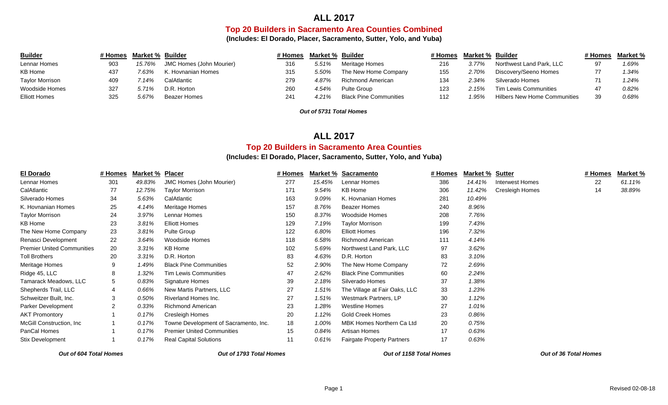**Top 20 Builders in Sacramento Area Counties Combined**

**(Includes: El Dorado, Placer, Sacramento, Sutter, Yolo, and Yuba)**

| <b>Builder</b>         |     | # Homes Market % Builder |                                 | ≇ Homes i | Market % Builder |                               | # Homes | Market % Builder |                                     | # Homes Market % |
|------------------------|-----|--------------------------|---------------------------------|-----------|------------------|-------------------------------|---------|------------------|-------------------------------------|------------------|
| Lennar Homes           | 903 | 15.76%                   | <b>JMC Homes (John Mourier)</b> | 316       | 5.51%            | Meritage Homes                | 216     | 3.77%            | Northwest Land Park, LLC            | 1.69%            |
| KB Home                | 437 | 7.63%                    | Hovnanian Homes                 | 315       | 5.50%            | The New Home Company          | 155     | 2.70%            | Discovery/Seeno Homes               | 1.34%            |
| <b>Taylor Morrison</b> | 409 | 14%                      | CalAtlantic                     | 279       | 4.87%            | Richmond American             | 134     | ?.34%            | Silverado Homes                     | 1.24%            |
| Woodside Homes         | 327 | 5.71%                    | D.R. Horton                     | 260       | 4.54%            | Pulte Group                   | 123     | 2.15%            | <b>Tim Lewis Communities</b>        | 0.82%            |
| <b>Elliott Homes</b>   | 325 | 5.67%                    | Beazer Homes                    | 241       | 4.21%            | <b>Black Pine Communities</b> | 112     | 1.95%            | <b>Hilbers New Home Communities</b> | 0.68%            |

*Out of 5731 Total Homes*

### **ALL 2017**

#### **Top 20 Builders in Sacramento Area Counties**

#### **(Includes: El Dorado, Placer, Sacramento, Sutter, Yolo, and Yuba)**

| El Dorado                         | # Homes | Market % | <b>Placer</b>                         | # Homes | Market % | <b>Sacramento</b>                 | # Homes | Market % | <b>Sutter</b>          | # Homes | Market % |
|-----------------------------------|---------|----------|---------------------------------------|---------|----------|-----------------------------------|---------|----------|------------------------|---------|----------|
| Lennar Homes                      | 301     | 49.83%   | <b>JMC Homes (John Mourier)</b>       | 277     | 15.45%   | Lennar Homes                      | 386     | 14.41%   | Interwest Homes        | 22      | 61.11%   |
| CalAtlantic                       | 77      | 12.75%   | Taylor Morrison                       | 171     | 9.54%    | <b>KB Home</b>                    | 306     | 11.42%   | <b>Cresleigh Homes</b> | 14      | 38.89%   |
| Silverado Homes                   | 34      | 5.63%    | CalAtlantic                           | 163     | 9.09%    | K. Hovnanian Homes                | 281     | 10.49%   |                        |         |          |
| K. Hovnanian Homes                | 25      | 4.14%    | Meritage Homes                        | 157     | 8.76%    | <b>Beazer Homes</b>               | 240     | 8.96%    |                        |         |          |
| <b>Taylor Morrison</b>            | 24      | 3.97%    | Lennar Homes                          | 150     | 8.37%    | <b>Woodside Homes</b>             | 208     | 7.76%    |                        |         |          |
| <b>KB Home</b>                    | 23      | 3.81%    | <b>Elliott Homes</b>                  | 129     | 7.19%    | <b>Taylor Morrison</b>            | 199     | 7.43%    |                        |         |          |
| The New Home Company              | 23      | 3.81%    | Pulte Group                           | 122     | 6.80%    | <b>Elliott Homes</b>              | 196     | 7.32%    |                        |         |          |
| Renasci Development               | 22      | 3.64%    | Woodside Homes                        | 118     | 6.58%    | <b>Richmond American</b>          | 111     | 4.14%    |                        |         |          |
| <b>Premier United Communities</b> | 20      | 3.31%    | KB Home                               | 102     | 5.69%    | Northwest Land Park, LLC          | 97      | 3.62%    |                        |         |          |
| <b>Toll Brothers</b>              | 20      | 3.31%    | D.R. Horton                           | 83      | 4.63%    | D.R. Horton                       | 83      | 3.10%    |                        |         |          |
| Meritage Homes                    | 9       | 1.49%    | <b>Black Pine Communities</b>         | 52      | 2.90%    | The New Home Company              | 72      | 2.69%    |                        |         |          |
| Ridge 45, LLC                     | 8       | 1.32%    | <b>Tim Lewis Communities</b>          | 47      | 2.62%    | <b>Black Pine Communities</b>     | 60      | 2.24%    |                        |         |          |
| Tamarack Meadows, LLC             | 5       | 0.83%    | Signature Homes                       | 39      | 2.18%    | Silverado Homes                   | 37      | 1.38%    |                        |         |          |
| Shepherds Trail, LLC              | 4       | 0.66%    | New Martis Partners, LLC              | 27      | 1.51%    | The Village at Fair Oaks, LLC     | 33      | 1.23%    |                        |         |          |
| Schweitzer Built, Inc.            | 3       | 0.50%    | Riverland Homes Inc.                  | 27      | 1.51%    | Westmark Partners, LP             | 30      | 1.12%    |                        |         |          |
| Parker Development                | 2       | 0.33%    | <b>Richmond American</b>              | 23      | 1.28%    | <b>Westline Homes</b>             | 27      | 1.01%    |                        |         |          |
| <b>AKT Promontory</b>             |         | 0.17%    | Cresleigh Homes                       | 20      | 1.12%    | <b>Gold Creek Homes</b>           | 23      | 0.86%    |                        |         |          |
| McGill Construction, Inc.         |         | 0.17%    | Towne Development of Sacramento, Inc. | 18      | 1.00%    | MBK Homes Northern Ca Ltd         | 20      | 0.75%    |                        |         |          |
| PanCal Homes                      |         | 0.17%    | <b>Premier United Communities</b>     | 15      | 0.84%    | Artisan Homes                     | 17      | 0.63%    |                        |         |          |
| <b>Stix Development</b>           |         | 0.17%    | <b>Real Capital Solutions</b>         | 11      | 0.61%    | <b>Fairgate Property Partners</b> | 17      | 0.63%    |                        |         |          |

*Out of 604 Total Homes Out of 1793 Total Homes Out of 1158 Total Homes Out of 36 Total Homes*

Out of 36 Total Homes